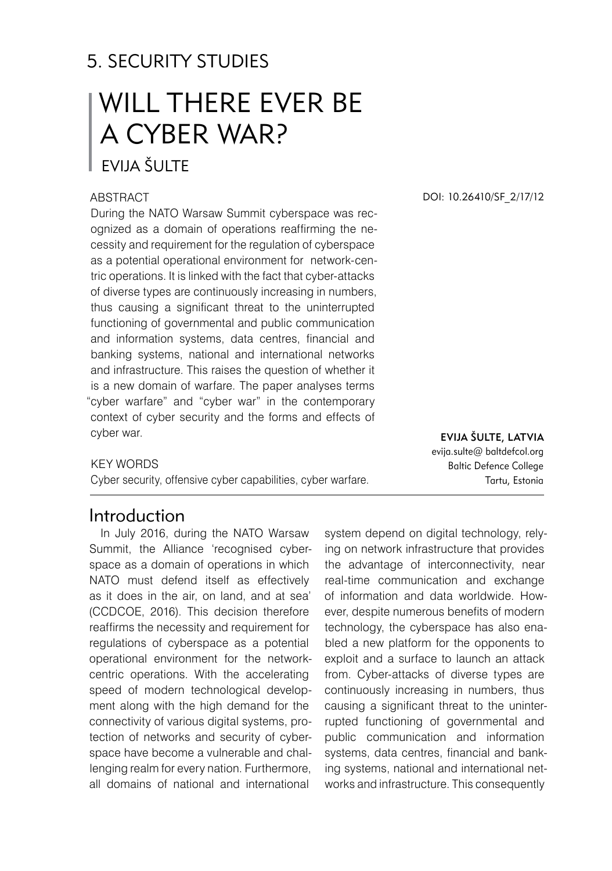# 5. SECURITY STUDIES

# WILL THERE EVER BE A CYBER WAR? **FVIJA ŠULTE**

#### **ABSTRACT**

During the NATO Warsaw Summit cyberspace was recognized as a domain of operations reaffirming the necessity and requirement for the regulation of cyberspace as a potential operational environment for network-centric operations. It is linked with the fact that cyber-attacks of diverse types are continuously increasing in numbers, thus causing a significant threat to the uninterrupted functioning of governmental and public communication and information systems, data centres, financial and banking systems, national and international networks and infrastructure. This raises the question of whether it is a new domain of warfare. The paper analyses terms "cyber warfare" and "cyber war" in the contemporary context of cyber security and the forms and effects of cyber war.

DOI: 10.26410/SF\_2/17/12

EVIJA ŠULTE, Latvia evija.sulte@ baltdefcol.org Baltic Defence College Tartu, Estonia

#### KEY WORDS

Cyber security, offensive cyber capabilities, cyber warfare.

#### Introduction

In July 2016, during the NATO Warsaw Summit, the Alliance 'recognised cyberspace as a domain of operations in which NATO must defend itself as effectively as it does in the air, on land, and at sea' (CCDCOE, 2016). This decision therefore reaffirms the necessity and requirement for regulations of cyberspace as a potential operational environment for the networkcentric operations. With the accelerating speed of modern technological development along with the high demand for the connectivity of various digital systems, protection of networks and security of cyberspace have become a vulnerable and challenging realm for every nation. Furthermore, all domains of national and international

system depend on digital technology, relying on network infrastructure that provides the advantage of interconnectivity, near real-time communication and exchange of information and data worldwide. However, despite numerous benefits of modern technology, the cyberspace has also enabled a new platform for the opponents to exploit and a surface to launch an attack from. Cyber-attacks of diverse types are continuously increasing in numbers, thus causing a significant threat to the uninterrupted functioning of governmental and public communication and information systems, data centres, financial and banking systems, national and international networks and infrastructure. This consequently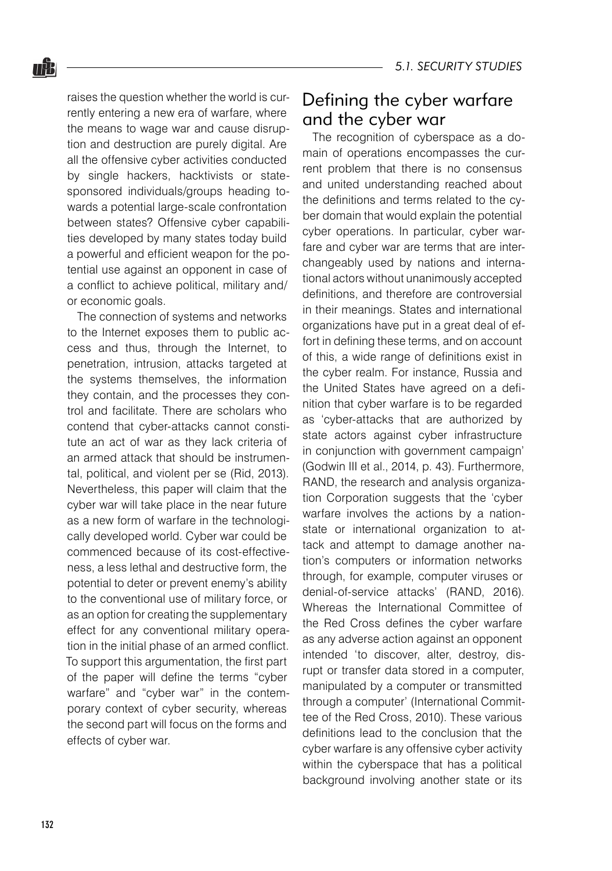raises the question whether the world is currently entering a new era of warfare, where the means to wage war and cause disruption and destruction are purely digital. Are all the offensive cyber activities conducted by single hackers, hacktivists or statesponsored individuals/groups heading towards a potential large-scale confrontation between states? Offensive cyber capabilities developed by many states today build a powerful and efficient weapon for the potential use against an opponent in case of a conflict to achieve political, military and/ or economic goals.

The connection of systems and networks to the Internet exposes them to public access and thus, through the Internet, to penetration, intrusion, attacks targeted at the systems themselves, the information they contain, and the processes they control and facilitate. There are scholars who contend that cyber-attacks cannot constitute an act of war as they lack criteria of an armed attack that should be instrumental, political, and violent per se (Rid, 2013). Nevertheless, this paper will claim that the cyber war will take place in the near future as a new form of warfare in the technologically developed world. Cyber war could be commenced because of its cost-effectiveness, a less lethal and destructive form, the potential to deter or prevent enemy's ability to the conventional use of military force, or as an option for creating the supplementary effect for any conventional military operation in the initial phase of an armed conflict. To support this argumentation, the first part of the paper will define the terms "cyber warfare" and "cyber war" in the contemporary context of cyber security, whereas the second part will focus on the forms and effects of cyber war.

## Defining the cyber warfare and the cyber war

The recognition of cyberspace as a domain of operations encompasses the current problem that there is no consensus and united understanding reached about the definitions and terms related to the cyber domain that would explain the potential cyber operations. In particular, cyber warfare and cyber war are terms that are interchangeably used by nations and international actors without unanimously accepted definitions, and therefore are controversial in their meanings. States and international organizations have put in a great deal of effort in defining these terms, and on account of this, a wide range of definitions exist in the cyber realm. For instance, Russia and the United States have agreed on a definition that cyber warfare is to be regarded as 'cyber-attacks that are authorized by state actors against cyber infrastructure in conjunction with government campaign' (Godwin III et al., 2014, p. 43). Furthermore, RAND, the research and analysis organization Corporation suggests that the 'cyber warfare involves the actions by a nationstate or international organization to attack and attempt to damage another nation's computers or information networks through, for example, computer viruses or denial-of-service attacks' (RAND, 2016). Whereas the International Committee of the Red Cross defines the cyber warfare as any adverse action against an opponent intended 'to discover, alter, destroy, disrupt or transfer data stored in a computer, manipulated by a computer or transmitted through a computer' (International Committee of the Red Cross, 2010). These various definitions lead to the conclusion that the cyber warfare is any offensive cyber activity within the cyberspace that has a political background involving another state or its

nŜ.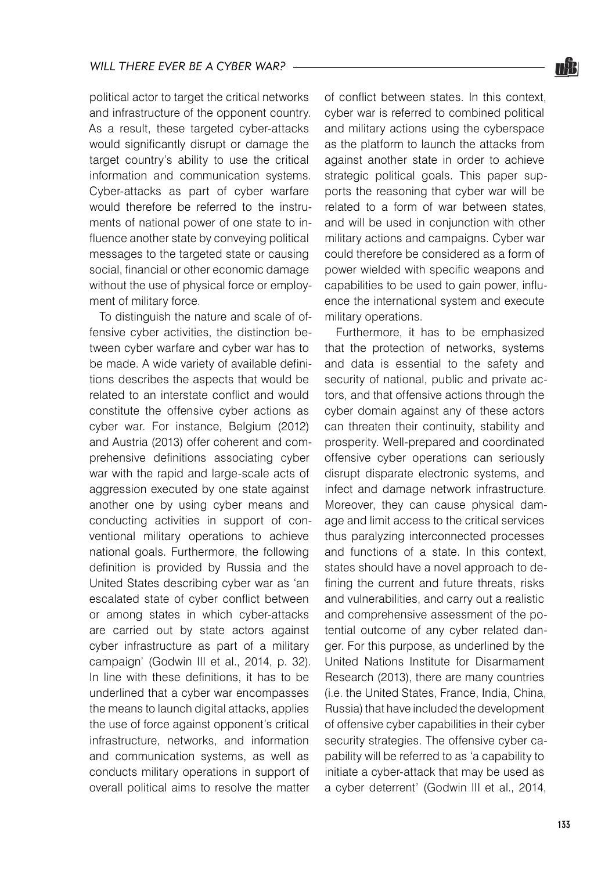political actor to target the critical networks and infrastructure of the opponent country. As a result, these targeted cyber-attacks would significantly disrupt or damage the target country's ability to use the critical information and communication systems. Cyber-attacks as part of cyber warfare would therefore be referred to the instruments of national power of one state to influence another state by conveying political messages to the targeted state or causing social, financial or other economic damage without the use of physical force or employment of military force.

To distinguish the nature and scale of offensive cyber activities, the distinction between cyber warfare and cyber war has to be made. A wide variety of available definitions describes the aspects that would be related to an interstate conflict and would constitute the offensive cyber actions as cyber war. For instance, Belgium (2012) and Austria (2013) offer coherent and comprehensive definitions associating cyber war with the rapid and large-scale acts of aggression executed by one state against another one by using cyber means and conducting activities in support of conventional military operations to achieve national goals. Furthermore, the following definition is provided by Russia and the United States describing cyber war as 'an escalated state of cyber conflict between or among states in which cyber-attacks are carried out by state actors against cyber infrastructure as part of a military campaign' (Godwin III et al., 2014, p. 32). In line with these definitions, it has to be underlined that a cyber war encompasses the means to launch digital attacks, applies the use of force against opponent's critical infrastructure, networks, and information and communication systems, as well as conducts military operations in support of overall political aims to resolve the matter

of conflict between states. In this context, cyber war is referred to combined political and military actions using the cyberspace as the platform to launch the attacks from against another state in order to achieve strategic political goals. This paper supports the reasoning that cyber war will be related to a form of war between states, and will be used in conjunction with other military actions and campaigns. Cyber war could therefore be considered as a form of power wielded with specific weapons and capabilities to be used to gain power, influence the international system and execute military operations.

Furthermore, it has to be emphasized that the protection of networks, systems and data is essential to the safety and security of national, public and private actors, and that offensive actions through the cyber domain against any of these actors can threaten their continuity, stability and prosperity. Well-prepared and coordinated offensive cyber operations can seriously disrupt disparate electronic systems, and infect and damage network infrastructure. Moreover, they can cause physical damage and limit access to the critical services thus paralyzing interconnected processes and functions of a state. In this context, states should have a novel approach to defining the current and future threats, risks and vulnerabilities, and carry out a realistic and comprehensive assessment of the potential outcome of any cyber related danger. For this purpose, as underlined by the United Nations Institute for Disarmament Research (2013), there are many countries (i.e. the United States, France, India, China, Russia) that have included the development of offensive cyber capabilities in their cyber security strategies. The offensive cyber capability will be referred to as 'a capability to initiate a cyber-attack that may be used as a cyber deterrent' (Godwin III et al., 2014,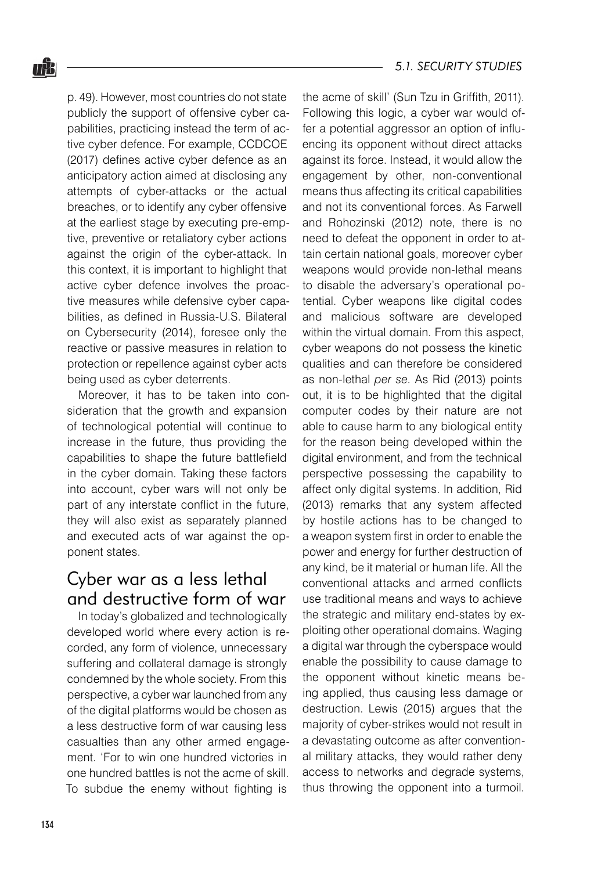p. 49). However, most countries do not state publicly the support of offensive cyber capabilities, practicing instead the term of active cyber defence. For example, CCDCOE (2017) defines active cyber defence as an anticipatory action aimed at disclosing any attempts of cyber-attacks or the actual breaches, or to identify any cyber offensive at the earliest stage by executing pre-emptive, preventive or retaliatory cyber actions against the origin of the cyber-attack. In this context, it is important to highlight that active cyber defence involves the proactive measures while defensive cyber capabilities, as defined in Russia-U.S. Bilateral on Cybersecurity (2014), foresee only the reactive or passive measures in relation to protection or repellence against cyber acts being used as cyber deterrents.

Moreover, it has to be taken into consideration that the growth and expansion of technological potential will continue to increase in the future, thus providing the capabilities to shape the future battlefield in the cyber domain. Taking these factors into account, cyber wars will not only be part of any interstate conflict in the future, they will also exist as separately planned and executed acts of war against the opponent states.

# Cyber war as a less lethal and destructive form of war

In today's globalized and technologically developed world where every action is recorded, any form of violence, unnecessary suffering and collateral damage is strongly condemned by the whole society. From this perspective, a cyber war launched from any of the digital platforms would be chosen as a less destructive form of war causing less casualties than any other armed engagement. 'For to win one hundred victories in one hundred battles is not the acme of skill. To subdue the enemy without fighting is

the acme of skill' (Sun Tzu in Griffith, 2011). Following this logic, a cyber war would offer a potential aggressor an option of influencing its opponent without direct attacks against its force. Instead, it would allow the engagement by other, non-conventional means thus affecting its critical capabilities and not its conventional forces. As Farwell and Rohozinski (2012) note, there is no need to defeat the opponent in order to attain certain national goals, moreover cyber weapons would provide non-lethal means to disable the adversary's operational potential. Cyber weapons like digital codes and malicious software are developed within the virtual domain. From this aspect, cyber weapons do not possess the kinetic qualities and can therefore be considered as non-lethal *per se*. As Rid (2013) points out, it is to be highlighted that the digital computer codes by their nature are not able to cause harm to any biological entity for the reason being developed within the digital environment, and from the technical perspective possessing the capability to affect only digital systems. In addition, Rid (2013) remarks that any system affected by hostile actions has to be changed to a weapon system first in order to enable the power and energy for further destruction of any kind, be it material or human life. All the conventional attacks and armed conflicts use traditional means and ways to achieve the strategic and military end-states by exploiting other operational domains. Waging a digital war through the cyberspace would enable the possibility to cause damage to the opponent without kinetic means being applied, thus causing less damage or destruction. Lewis (2015) argues that the majority of cyber-strikes would not result in a devastating outcome as after conventional military attacks, they would rather deny access to networks and degrade systems, thus throwing the opponent into a turmoil.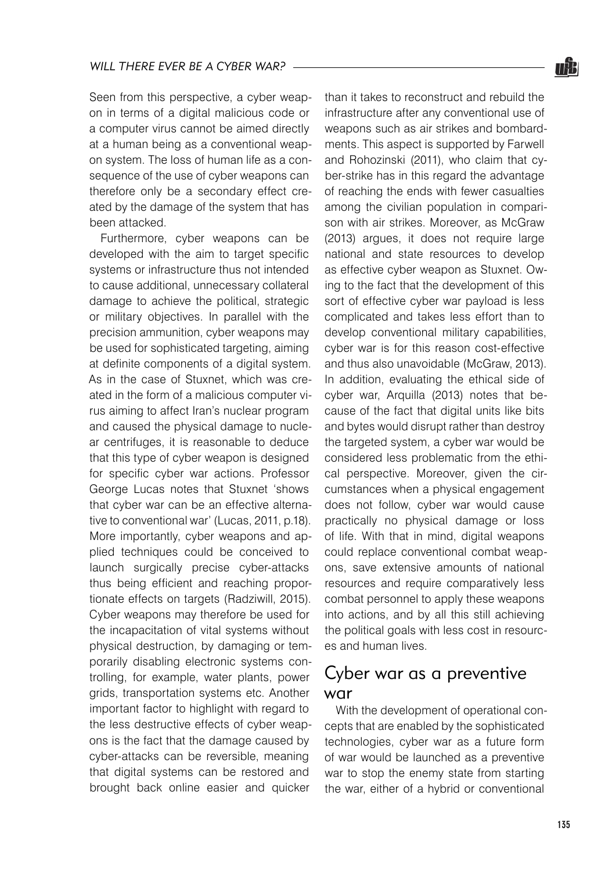Seen from this perspective, a cyber weapon in terms of a digital malicious code or a computer virus cannot be aimed directly at a human being as a conventional weapon system. The loss of human life as a consequence of the use of cyber weapons can therefore only be a secondary effect created by the damage of the system that has been attacked.

Furthermore, cyber weapons can be developed with the aim to target specific systems or infrastructure thus not intended to cause additional, unnecessary collateral damage to achieve the political, strategic or military objectives. In parallel with the precision ammunition, cyber weapons may be used for sophisticated targeting, aiming at definite components of a digital system. As in the case of Stuxnet, which was created in the form of a malicious computer virus aiming to affect Iran's nuclear program and caused the physical damage to nuclear centrifuges, it is reasonable to deduce that this type of cyber weapon is designed for specific cyber war actions. Professor George Lucas notes that Stuxnet 'shows that cyber war can be an effective alternative to conventional war' (Lucas, 2011, p.18). More importantly, cyber weapons and applied techniques could be conceived to launch surgically precise cyber-attacks thus being efficient and reaching proportionate effects on targets (Radziwill, 2015). Cyber weapons may therefore be used for the incapacitation of vital systems without physical destruction, by damaging or temporarily disabling electronic systems controlling, for example, water plants, power grids, transportation systems etc. Another important factor to highlight with regard to the less destructive effects of cyber weapons is the fact that the damage caused by cyber-attacks can be reversible, meaning that digital systems can be restored and brought back online easier and quicker

than it takes to reconstruct and rebuild the infrastructure after any conventional use of weapons such as air strikes and bombardments. This aspect is supported by Farwell and Rohozinski (2011), who claim that cyber-strike has in this regard the advantage of reaching the ends with fewer casualties among the civilian population in comparison with air strikes. Moreover, as McGraw (2013) argues, it does not require large national and state resources to develop as effective cyber weapon as Stuxnet. Owing to the fact that the development of this sort of effective cyber war payload is less complicated and takes less effort than to develop conventional military capabilities, cyber war is for this reason cost-effective and thus also unavoidable (McGraw, 2013). In addition, evaluating the ethical side of cyber war, Arquilla (2013) notes that because of the fact that digital units like bits and bytes would disrupt rather than destroy the targeted system, a cyber war would be considered less problematic from the ethical perspective. Moreover, given the circumstances when a physical engagement does not follow, cyber war would cause practically no physical damage or loss of life. With that in mind, digital weapons could replace conventional combat weapons, save extensive amounts of national resources and require comparatively less combat personnel to apply these weapons into actions, and by all this still achieving the political goals with less cost in resources and human lives.

### Cyber war as a preventive war

With the development of operational concepts that are enabled by the sophisticated technologies, cyber war as a future form of war would be launched as a preventive war to stop the enemy state from starting the war, either of a hybrid or conventional

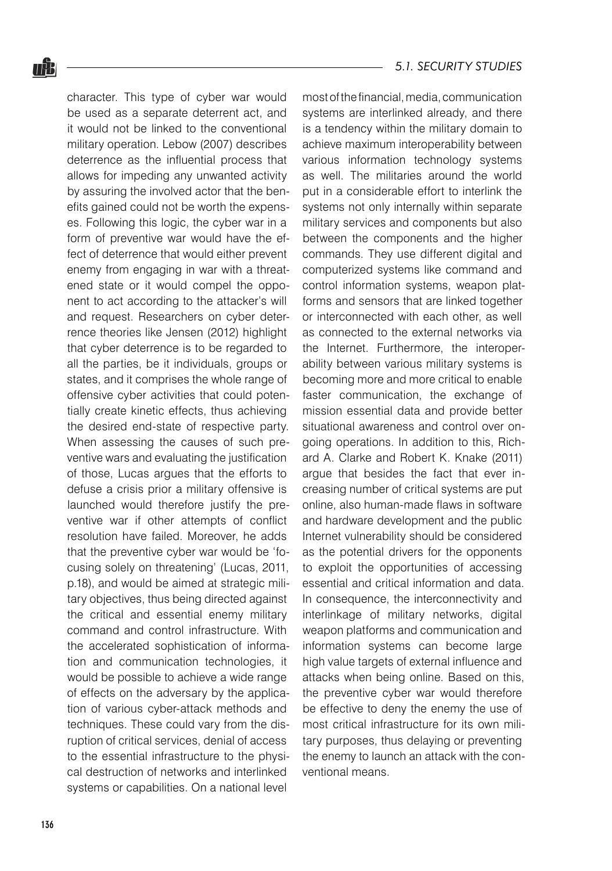nŜ.

character. This type of cyber war would be used as a separate deterrent act, and it would not be linked to the conventional military operation. Lebow (2007) describes deterrence as the influential process that allows for impeding any unwanted activity by assuring the involved actor that the benefits gained could not be worth the expenses. Following this logic, the cyber war in a form of preventive war would have the effect of deterrence that would either prevent enemy from engaging in war with a threatened state or it would compel the opponent to act according to the attacker's will and request. Researchers on cyber deterrence theories like Jensen (2012) highlight that cyber deterrence is to be regarded to all the parties, be it individuals, groups or states, and it comprises the whole range of offensive cyber activities that could potentially create kinetic effects, thus achieving the desired end-state of respective party. When assessing the causes of such preventive wars and evaluating the justification of those, Lucas argues that the efforts to defuse a crisis prior a military offensive is launched would therefore justify the preventive war if other attempts of conflict resolution have failed. Moreover, he adds that the preventive cyber war would be 'focusing solely on threatening' (Lucas, 2011, p.18), and would be aimed at strategic military objectives, thus being directed against the critical and essential enemy military command and control infrastructure. With the accelerated sophistication of information and communication technologies, it would be possible to achieve a wide range of effects on the adversary by the application of various cyber-attack methods and techniques. These could vary from the disruption of critical services, denial of access to the essential infrastructure to the physical destruction of networks and interlinked systems or capabilities. On a national level

most of the financial, media, communication systems are interlinked already, and there is a tendency within the military domain to achieve maximum interoperability between various information technology systems as well. The militaries around the world put in a considerable effort to interlink the systems not only internally within separate military services and components but also between the components and the higher commands. They use different digital and computerized systems like command and control information systems, weapon platforms and sensors that are linked together or interconnected with each other, as well as connected to the external networks via the Internet. Furthermore, the interoperability between various military systems is becoming more and more critical to enable faster communication, the exchange of mission essential data and provide better situational awareness and control over ongoing operations. In addition to this, Richard A. Clarke and Robert K. Knake (2011) argue that besides the fact that ever increasing number of critical systems are put online, also human-made flaws in software and hardware development and the public Internet vulnerability should be considered as the potential drivers for the opponents to exploit the opportunities of accessing essential and critical information and data. In consequence, the interconnectivity and interlinkage of military networks, digital weapon platforms and communication and information systems can become large high value targets of external influence and attacks when being online. Based on this, the preventive cyber war would therefore be effective to deny the enemy the use of most critical infrastructure for its own military purposes, thus delaying or preventing the enemy to launch an attack with the conventional means.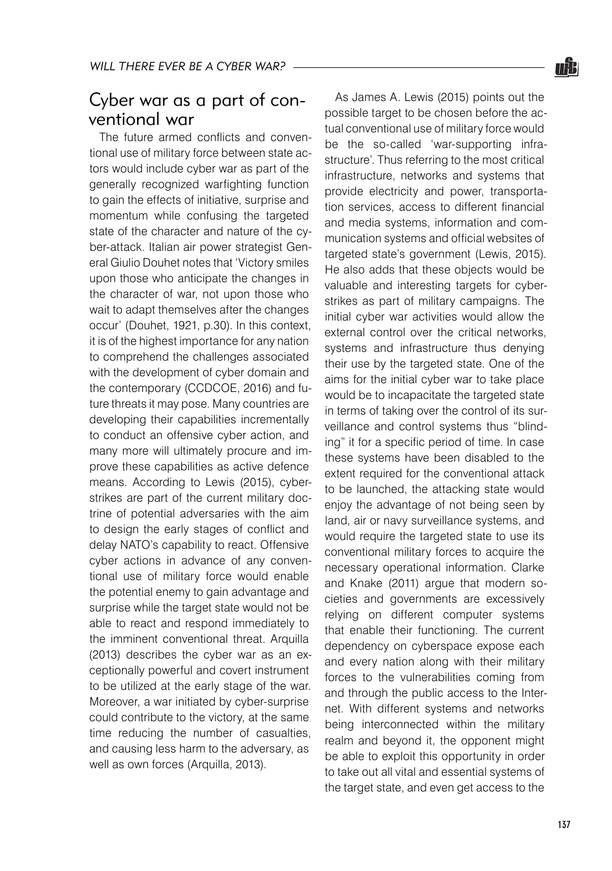### Cyber war as a part of conventional war

The future armed conflicts and conventional use of military force between state actors would include cyber war as part of the generally recognized warfighting function to gain the effects of initiative, surprise and momentum while confusing the targeted state of the character and nature of the cyber-attack. Italian air power strategist General Giulio Douhet notes that 'Victory smiles upon those who anticipate the changes in the character of war, not upon those who wait to adapt themselves after the changes occur' (Douhet, 1921, p.30). In this context, it is of the highest importance for any nation to comprehend the challenges associated with the development of cyber domain and the contemporary (CCDCOE, 2016) and future threats it may pose. Many countries are developing their capabilities incrementally to conduct an offensive cyber action, and many more will ultimately procure and improve these capabilities as active defence means. According to Lewis (2015), cyberstrikes are part of the current military doctrine of potential adversaries with the aim to design the early stages of conflict and delay NATO's capability to react. Offensive cyber actions in advance of any conventional use of military force would enable the potential enemy to gain advantage and surprise while the target state would not be able to react and respond immediately to the imminent conventional threat. Arquilla (2013) describes the cyber war as an exceptionally powerful and covert instrument to be utilized at the early stage of the war. Moreover, a war initiated by cyber-surprise could contribute to the victory, at the same time reducing the number of casualties, and causing less harm to the adversary, as well as own forces (Arquilla, 2013).

As James A. Lewis (2015) points out the possible target to be chosen before the actual conventional use of military force would be the so-called 'war-supporting infrastructure'. Thus referring to the most critical infrastructure, networks and systems that provide electricity and power, transportation services, access to different financial and media systems, information and communication systems and official websites of targeted state's government (Lewis, 2015). He also adds that these objects would be valuable and interesting targets for cyberstrikes as part of military campaigns. The initial cyber war activities would allow the external control over the critical networks, systems and infrastructure thus denying their use by the targeted state. One of the aims for the initial cyber war to take place would be to incapacitate the targeted state in terms of taking over the control of its surveillance and control systems thus "blinding" it for a specific period of time. In case these systems have been disabled to the extent required for the conventional attack to be launched, the attacking state would enjoy the advantage of not being seen by land, air or navy surveillance systems, and would require the targeted state to use its conventional military forces to acquire the necessary operational information. Clarke and Knake (2011) argue that modern societies and governments are excessively relying on different computer systems that enable their functioning. The current dependency on cyberspace expose each and every nation along with their military forces to the vulnerabilities coming from and through the public access to the Internet. With different systems and networks being interconnected within the military realm and beyond it, the opponent might be able to exploit this opportunity in order to take out all vital and essential systems of the target state, and even get access to the

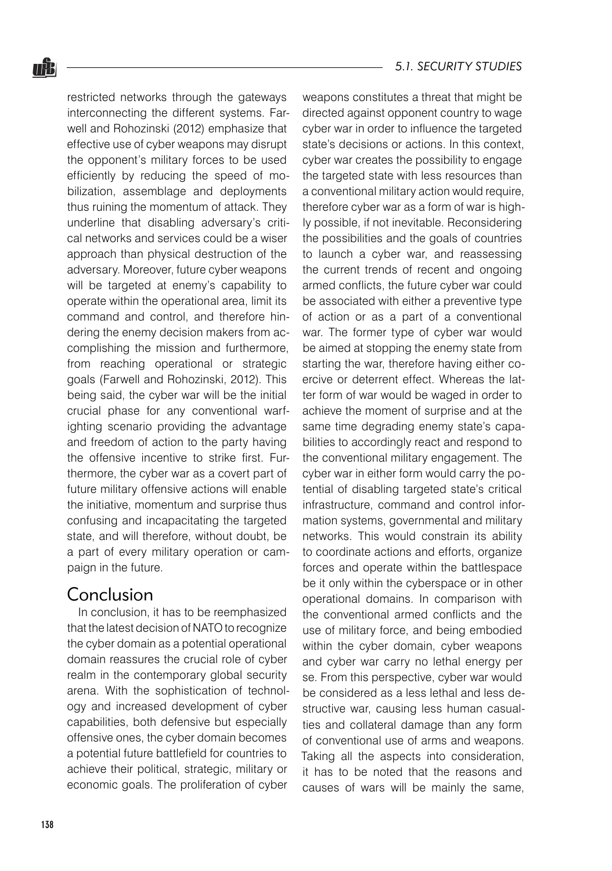nŜ.

restricted networks through the gateways interconnecting the different systems. Farwell and Rohozinski (2012) emphasize that effective use of cyber weapons may disrupt the opponent's military forces to be used efficiently by reducing the speed of mobilization, assemblage and deployments thus ruining the momentum of attack. They underline that disabling adversary's critical networks and services could be a wiser approach than physical destruction of the adversary. Moreover, future cyber weapons will be targeted at enemy's capability to operate within the operational area, limit its command and control, and therefore hindering the enemy decision makers from accomplishing the mission and furthermore, from reaching operational or strategic goals (Farwell and Rohozinski, 2012). This being said, the cyber war will be the initial crucial phase for any conventional warfighting scenario providing the advantage and freedom of action to the party having the offensive incentive to strike first. Furthermore, the cyber war as a covert part of future military offensive actions will enable the initiative, momentum and surprise thus confusing and incapacitating the targeted state, and will therefore, without doubt, be a part of every military operation or campaign in the future.

# Conclusion

In conclusion, it has to be reemphasized that the latest decision of NATO to recognize the cyber domain as a potential operational domain reassures the crucial role of cyber realm in the contemporary global security arena. With the sophistication of technology and increased development of cyber capabilities, both defensive but especially offensive ones, the cyber domain becomes a potential future battlefield for countries to achieve their political, strategic, military or economic goals. The proliferation of cyber

#### *5.1. SECURITY STUDIES*

weapons constitutes a threat that might be directed against opponent country to wage cyber war in order to influence the targeted state's decisions or actions. In this context, cyber war creates the possibility to engage the targeted state with less resources than a conventional military action would require, therefore cyber war as a form of war is highly possible, if not inevitable. Reconsidering the possibilities and the goals of countries to launch a cyber war, and reassessing the current trends of recent and ongoing armed conflicts, the future cyber war could be associated with either a preventive type of action or as a part of a conventional war. The former type of cyber war would be aimed at stopping the enemy state from starting the war, therefore having either coercive or deterrent effect. Whereas the latter form of war would be waged in order to achieve the moment of surprise and at the same time degrading enemy state's capabilities to accordingly react and respond to the conventional military engagement. The cyber war in either form would carry the potential of disabling targeted state's critical infrastructure, command and control information systems, governmental and military networks. This would constrain its ability to coordinate actions and efforts, organize forces and operate within the battlespace be it only within the cyberspace or in other operational domains. In comparison with the conventional armed conflicts and the use of military force, and being embodied within the cyber domain, cyber weapons and cyber war carry no lethal energy per se. From this perspective, cyber war would be considered as a less lethal and less destructive war, causing less human casualties and collateral damage than any form of conventional use of arms and weapons. Taking all the aspects into consideration, it has to be noted that the reasons and causes of wars will be mainly the same,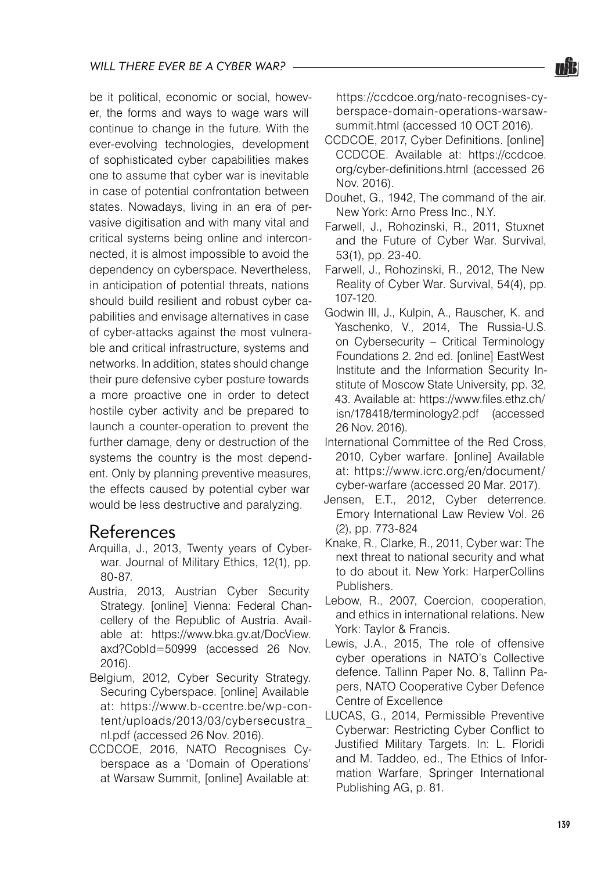be it political, economic or social, however, the forms and ways to wage wars will continue to change in the future. With the ever-evolving technologies, development of sophisticated cyber capabilities makes one to assume that cyber war is inevitable in case of potential confrontation between states. Nowadays, living in an era of pervasive digitisation and with many vital and critical systems being online and interconnected, it is almost impossible to avoid the dependency on cyberspace. Nevertheless, in anticipation of potential threats, nations should build resilient and robust cyber capabilities and envisage alternatives in case of cyber-attacks against the most vulnerable and critical infrastructure, systems and networks. In addition, states should change their pure defensive cyber posture towards a more proactive one in order to detect hostile cyber activity and be prepared to launch a counter-operation to prevent the further damage, deny or destruction of the systems the country is the most dependent. Only by planning preventive measures, the effects caused by potential cyber war would be less destructive and paralyzing.

### References

- Arquilla, J., 2013, Twenty years of Cyberwar. Journal of Military Ethics, 12(1), pp. 80-87.
- Austria, 2013, Austrian Cyber Security Strategy. [online] Vienna: Federal Chancellery of the Republic of Austria. Available at: https://www.bka.gv.at/DocView. axd?CobId=50999 (accessed 26 Nov. 2016).
- Belgium, 2012, Cyber Security Strategy. Securing Cyberspace. [online] Available at: https://www.b-ccentre.be/wp-content/uploads/2013/03/cybersecustra\_ nl.pdf (accessed 26 Nov. 2016).
- CCDCOE, 2016, NATO Recognises Cyberspace as a 'Domain of Operations' at Warsaw Summit, [online] Available at:

https://ccdcoe.org/nato-recognises-cyberspace-domain-operations-warsawsummit.html (accessed 10 OCT 2016).

- CCDCOE, 2017, Cyber Definitions. [online] CCDCOE. Available at: https://ccdcoe. org/cyber-definitions.html (accessed 26 Nov. 2016).
- Douhet, G., 1942, The command of the air. New York: Arno Press Inc., N.Y.
- Farwell, J., Rohozinski, R., 2011, Stuxnet and the Future of Cyber War. Survival, 53(1), pp. 23-40.
- Farwell, J., Rohozinski, R., 2012, The New Reality of Cyber War. Survival, 54(4), pp. 107-120.
- Godwin III, J., Kulpin, A., Rauscher, K. and Yaschenko, V., 2014, The Russia-U.S. on Cybersecurity – Critical Terminology Foundations 2. 2nd ed. [online] EastWest Institute and the Information Security Institute of Moscow State University, pp. 32, 43. Available at: https://www.files.ethz.ch/ isn/178418/terminology2.pdf (accessed 26 Nov. 2016).
- International Committee of the Red Cross, 2010, Cyber warfare. [online] Available at: https://www.icrc.org/en/document/ cyber-warfare (accessed 20 Mar. 2017).
- Jensen, E.T., 2012, Cyber deterrence. Emory International Law Review Vol. 26 (2), pp. 773-824
- Knake, R., Clarke, R., 2011, Cyber war: The next threat to national security and what to do about it. New York: HarperCollins Publishers.
- Lebow, R., 2007, Coercion, cooperation, and ethics in international relations. New York: Taylor & Francis.
- Lewis, J.A., 2015, The role of offensive cyber operations in NATO's Collective defence. Tallinn Paper No. 8, Tallinn Papers, NATO Cooperative Cyber Defence Centre of Excellence
- LUCAS, G., 2014, Permissible Preventive Cyberwar: Restricting Cyber Conflict to Justified Military Targets. In: L. Floridi and M. Taddeo, ed., The Ethics of Information Warfare, Springer International Publishing AG, p. 81.